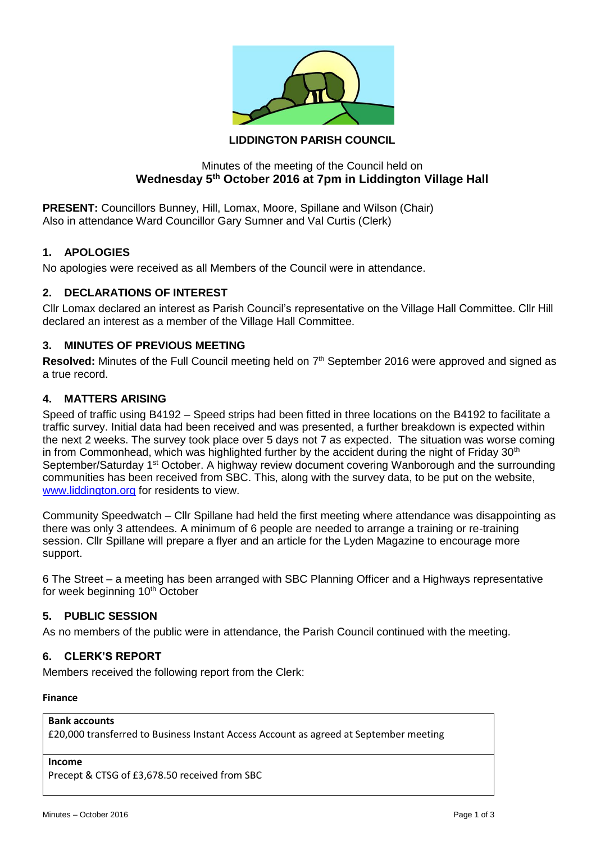

# **LIDDINGTON PARISH COUNCIL**

# Minutes of the meeting of the Council held on **Wednesday 5th October 2016 at 7pm in Liddington Village Hall**

**PRESENT:** Councillors Bunney, Hill, Lomax, Moore, Spillane and Wilson (Chair) Also in attendance Ward Councillor Gary Sumner and Val Curtis (Clerk)

# **1. APOLOGIES**

No apologies were received as all Members of the Council were in attendance.

# **2. DECLARATIONS OF INTEREST**

Cllr Lomax declared an interest as Parish Council's representative on the Village Hall Committee. Cllr Hill declared an interest as a member of the Village Hall Committee.

# **3. MINUTES OF PREVIOUS MEETING**

Resolved: Minutes of the Full Council meeting held on 7<sup>th</sup> September 2016 were approved and signed as a true record.

# **4. MATTERS ARISING**

Speed of traffic using B4192 – Speed strips had been fitted in three locations on the B4192 to facilitate a traffic survey. Initial data had been received and was presented, a further breakdown is expected within the next 2 weeks. The survey took place over 5 days not 7 as expected. The situation was worse coming in from Commonhead, which was highlighted further by the accident during the night of Friday  $30<sup>th</sup>$ September/Saturday 1<sup>st</sup> October. A highway review document covering Wanborough and the surrounding communities has been received from SBC. This, along with the survey data, to be put on the website, [www.liddington.org](http://www.liddington.org/) for residents to view.

Community Speedwatch – Cllr Spillane had held the first meeting where attendance was disappointing as there was only 3 attendees. A minimum of 6 people are needed to arrange a training or re-training session. Cllr Spillane will prepare a flyer and an article for the Lyden Magazine to encourage more support.

6 The Street – a meeting has been arranged with SBC Planning Officer and a Highways representative for week beginning 10<sup>th</sup> October

# **5. PUBLIC SESSION**

As no members of the public were in attendance, the Parish Council continued with the meeting.

# **6. CLERK'S REPORT**

Members received the following report from the Clerk:

#### **Finance**

### **Bank accounts**

£20,000 transferred to Business Instant Access Account as agreed at September meeting

### **Income**

Precept & CTSG of £3,678.50 received from SBC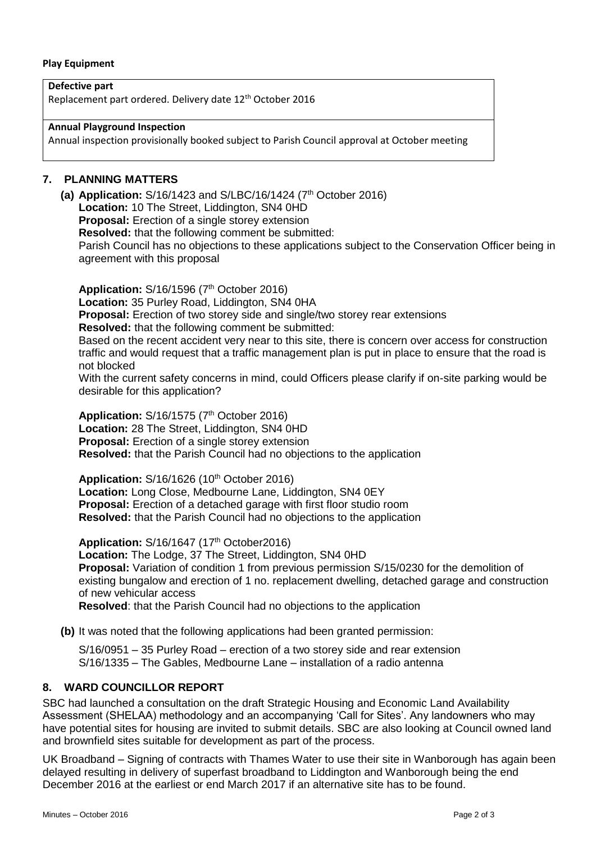#### **Play Equipment**

**Defective part** Replacement part ordered. Delivery date 12th October 2016

**Annual Playground Inspection**

Annual inspection provisionally booked subject to Parish Council approval at October meeting

### **7. PLANNING MATTERS**

**(a) Application:** S/16/1423 and S/LBC/16/1424 (7<sup>th</sup> October 2016) **Location:** 10 The Street, Liddington, SN4 0HD **Proposal:** Erection of a single storey extension **Resolved:** that the following comment be submitted: Parish Council has no objections to these applications subject to the Conservation Officer being in agreement with this proposal

**Application: S/16/1596 (7<sup>th</sup> October 2016) Location:** 35 Purley Road, Liddington, SN4 0HA **Proposal:** Erection of two storey side and single/two storey rear extensions **Resolved:** that the following comment be submitted: Based on the recent accident very near to this site, there is concern over access for construction traffic and would request that a traffic management plan is put in place to ensure that the road is

not blocked With the current safety concerns in mind, could Officers please clarify if on-site parking would be desirable for this application?

**Application: S/16/1575 (7<sup>th</sup> October 2016) Location:** 28 The Street, Liddington, SN4 0HD **Proposal:** Erection of a single storey extension **Resolved:** that the Parish Council had no objections to the application

**Application: S/16/1626 (10<sup>th</sup> October 2016) Location:** Long Close, Medbourne Lane, Liddington, SN4 0EY **Proposal:** Erection of a detached garage with first floor studio room **Resolved:** that the Parish Council had no objections to the application

**Application:** S/16/1647 (17<sup>th</sup> October2016) **Location:** The Lodge, 37 The Street, Liddington, SN4 0HD **Proposal:** Variation of condition 1 from previous permission S/15/0230 for the demolition of existing bungalow and erection of 1 no. replacement dwelling, detached garage and construction of new vehicular access **Resolved**: that the Parish Council had no objections to the application

**(b)** It was noted that the following applications had been granted permission:

S/16/0951 – 35 Purley Road – erection of a two storey side and rear extension S/16/1335 – The Gables, Medbourne Lane – installation of a radio antenna

# **8. WARD COUNCILLOR REPORT**

SBC had launched a consultation on the draft Strategic Housing and Economic Land Availability Assessment (SHELAA) methodology and an accompanying 'Call for Sites'. Any landowners who may have potential sites for housing are invited to submit details. SBC are also looking at Council owned land and brownfield sites suitable for development as part of the process.

UK Broadband – Signing of contracts with Thames Water to use their site in Wanborough has again been delayed resulting in delivery of superfast broadband to Liddington and Wanborough being the end December 2016 at the earliest or end March 2017 if an alternative site has to be found.